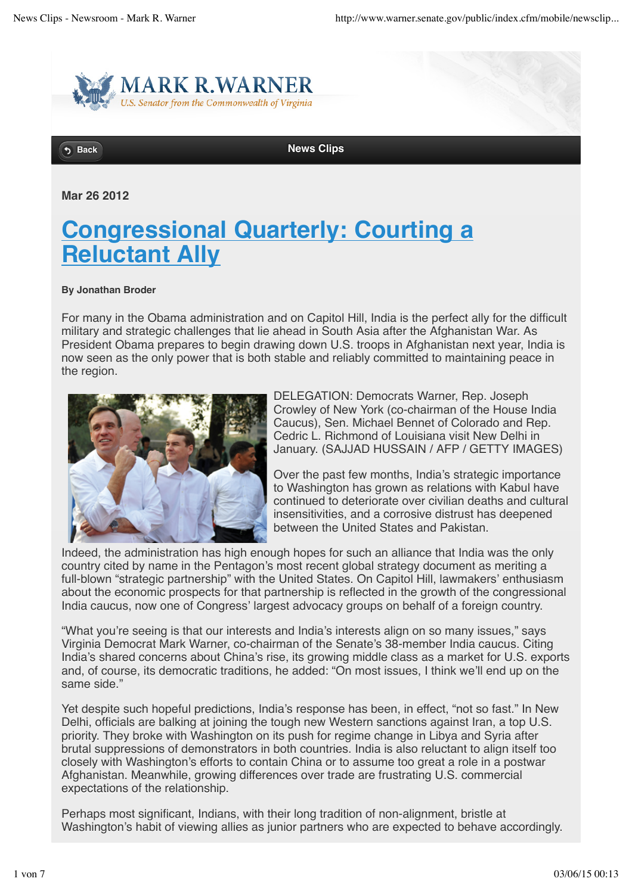

**Back News Clips** 

**Mar 26 2012**

## **Congressional Quarterly: Courting a Reluctant Ally**

## **By Jonathan Broder**

For many in the Obama administration and on Capitol Hill, India is the perfect ally for the difficult military and strategic challenges that lie ahead in South Asia after the Afghanistan War. As President Obama prepares to begin drawing down U.S. troops in Afghanistan next year, India is now seen as the only power that is both stable and reliably committed to maintaining peace in the region.



DELEGATION: Democrats Warner, Rep. Joseph Crowley of New York (co-chairman of the House India Caucus), Sen. Michael Bennet of Colorado and Rep. Cedric L. Richmond of Louisiana visit New Delhi in January. (SAJJAD HUSSAIN / AFP / GETTY IMAGES)

Over the past few months, India's strategic importance to Washington has grown as relations with Kabul have continued to deteriorate over civilian deaths and cultural insensitivities, and a corrosive distrust has deepened between the United States and Pakistan.

Indeed, the administration has high enough hopes for such an alliance that India was the only country cited by name in the Pentagon's most recent global strategy document as meriting a full-blown "strategic partnership" with the United States. On Capitol Hill, lawmakers' enthusiasm about the economic prospects for that partnership is reflected in the growth of the congressional India caucus, now one of Congress' largest advocacy groups on behalf of a foreign country.

"What you're seeing is that our interests and India's interests align on so many issues," says Virginia Democrat Mark Warner, co-chairman of the Senate's 38-member India caucus. Citing India's shared concerns about China's rise, its growing middle class as a market for U.S. exports and, of course, its democratic traditions, he added: "On most issues, I think we'll end up on the same side."

Yet despite such hopeful predictions, India's response has been, in effect, "not so fast." In New Delhi, officials are balking at joining the tough new Western sanctions against Iran, a top U.S. priority. They broke with Washington on its push for regime change in Libya and Syria after brutal suppressions of demonstrators in both countries. India is also reluctant to align itself too closely with Washington's efforts to contain China or to assume too great a role in a postwar Afghanistan. Meanwhile, growing differences over trade are frustrating U.S. commercial expectations of the relationship.

Perhaps most significant, Indians, with their long tradition of non-alignment, bristle at Washington's habit of viewing allies as junior partners who are expected to behave accordingly.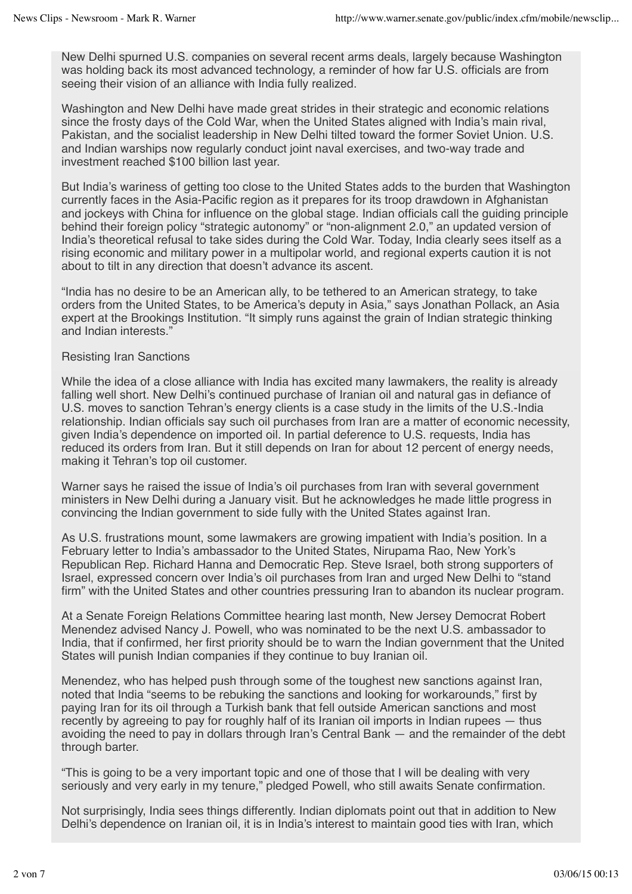New Delhi spurned U.S. companies on several recent arms deals, largely because Washington was holding back its most advanced technology, a reminder of how far U.S. officials are from seeing their vision of an alliance with India fully realized.

Washington and New Delhi have made great strides in their strategic and economic relations since the frosty days of the Cold War, when the United States aligned with India's main rival, Pakistan, and the socialist leadership in New Delhi tilted toward the former Soviet Union. U.S. and Indian warships now regularly conduct joint naval exercises, and two-way trade and investment reached \$100 billion last year.

But India's wariness of getting too close to the United States adds to the burden that Washington currently faces in the Asia-Pacific region as it prepares for its troop drawdown in Afghanistan and jockeys with China for influence on the global stage. Indian officials call the guiding principle behind their foreign policy "strategic autonomy" or "non-alignment 2.0," an updated version of India's theoretical refusal to take sides during the Cold War. Today, India clearly sees itself as a rising economic and military power in a multipolar world, and regional experts caution it is not about to tilt in any direction that doesn't advance its ascent.

"India has no desire to be an American ally, to be tethered to an American strategy, to take orders from the United States, to be America's deputy in Asia," says Jonathan Pollack, an Asia expert at the Brookings Institution. "It simply runs against the grain of Indian strategic thinking and Indian interests."

## Resisting Iran Sanctions

While the idea of a close alliance with India has excited many lawmakers, the reality is already falling well short. New Delhi's continued purchase of Iranian oil and natural gas in defiance of U.S. moves to sanction Tehran's energy clients is a case study in the limits of the U.S.-India relationship. Indian officials say such oil purchases from Iran are a matter of economic necessity, given India's dependence on imported oil. In partial deference to U.S. requests, India has reduced its orders from Iran. But it still depends on Iran for about 12 percent of energy needs, making it Tehran's top oil customer.

Warner says he raised the issue of India's oil purchases from Iran with several government ministers in New Delhi during a January visit. But he acknowledges he made little progress in convincing the Indian government to side fully with the United States against Iran.

As U.S. frustrations mount, some lawmakers are growing impatient with India's position. In a February letter to India's ambassador to the United States, Nirupama Rao, New York's Republican Rep. Richard Hanna and Democratic Rep. Steve Israel, both strong supporters of Israel, expressed concern over India's oil purchases from Iran and urged New Delhi to "stand firm" with the United States and other countries pressuring Iran to abandon its nuclear program.

At a Senate Foreign Relations Committee hearing last month, New Jersey Democrat Robert Menendez advised Nancy J. Powell, who was nominated to be the next U.S. ambassador to India, that if confirmed, her first priority should be to warn the Indian government that the United States will punish Indian companies if they continue to buy Iranian oil.

Menendez, who has helped push through some of the toughest new sanctions against Iran, noted that India "seems to be rebuking the sanctions and looking for workarounds," first by paying Iran for its oil through a Turkish bank that fell outside American sanctions and most recently by agreeing to pay for roughly half of its Iranian oil imports in Indian rupees — thus avoiding the need to pay in dollars through Iran's Central Bank — and the remainder of the debt through barter.

"This is going to be a very important topic and one of those that I will be dealing with very seriously and very early in my tenure," pledged Powell, who still awaits Senate confirmation.

Not surprisingly, India sees things differently. Indian diplomats point out that in addition to New Delhi's dependence on Iranian oil, it is in India's interest to maintain good ties with Iran, which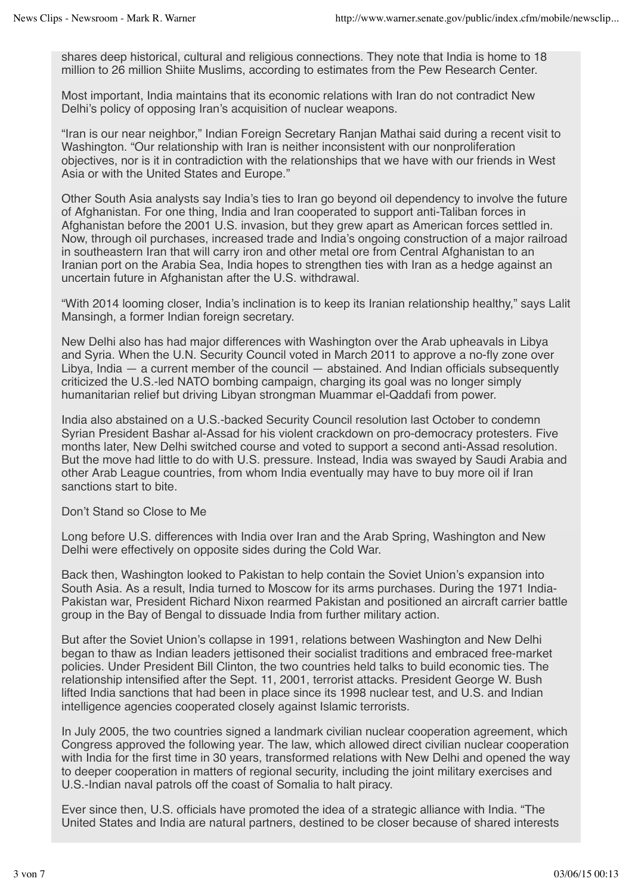shares deep historical, cultural and religious connections. They note that India is home to 18 million to 26 million Shiite Muslims, according to estimates from the Pew Research Center.

Most important, India maintains that its economic relations with Iran do not contradict New Delhi's policy of opposing Iran's acquisition of nuclear weapons.

"Iran is our near neighbor," Indian Foreign Secretary Ranjan Mathai said during a recent visit to Washington. "Our relationship with Iran is neither inconsistent with our nonproliferation objectives, nor is it in contradiction with the relationships that we have with our friends in West Asia or with the United States and Europe."

Other South Asia analysts say India's ties to Iran go beyond oil dependency to involve the future of Afghanistan. For one thing, India and Iran cooperated to support anti-Taliban forces in Afghanistan before the 2001 U.S. invasion, but they grew apart as American forces settled in. Now, through oil purchases, increased trade and India's ongoing construction of a major railroad in southeastern Iran that will carry iron and other metal ore from Central Afghanistan to an Iranian port on the Arabia Sea, India hopes to strengthen ties with Iran as a hedge against an uncertain future in Afghanistan after the U.S. withdrawal.

"With 2014 looming closer, India's inclination is to keep its Iranian relationship healthy," says Lalit Mansingh, a former Indian foreign secretary.

New Delhi also has had major differences with Washington over the Arab upheavals in Libya and Syria. When the U.N. Security Council voted in March 2011 to approve a no-fly zone over Libya, India — a current member of the council — abstained. And Indian officials subsequently criticized the U.S.-led NATO bombing campaign, charging its goal was no longer simply humanitarian relief but driving Libyan strongman Muammar el-Qaddafi from power.

India also abstained on a U.S.-backed Security Council resolution last October to condemn Syrian President Bashar al-Assad for his violent crackdown on pro-democracy protesters. Five months later, New Delhi switched course and voted to support a second anti-Assad resolution. But the move had little to do with U.S. pressure. Instead, India was swayed by Saudi Arabia and other Arab League countries, from whom India eventually may have to buy more oil if Iran sanctions start to bite.

Don't Stand so Close to Me

Long before U.S. differences with India over Iran and the Arab Spring, Washington and New Delhi were effectively on opposite sides during the Cold War.

Back then, Washington looked to Pakistan to help contain the Soviet Union's expansion into South Asia. As a result, India turned to Moscow for its arms purchases. During the 1971 India-Pakistan war, President Richard Nixon rearmed Pakistan and positioned an aircraft carrier battle group in the Bay of Bengal to dissuade India from further military action.

But after the Soviet Union's collapse in 1991, relations between Washington and New Delhi began to thaw as Indian leaders jettisoned their socialist traditions and embraced free-market policies. Under President Bill Clinton, the two countries held talks to build economic ties. The relationship intensified after the Sept. 11, 2001, terrorist attacks. President George W. Bush lifted India sanctions that had been in place since its 1998 nuclear test, and U.S. and Indian intelligence agencies cooperated closely against Islamic terrorists.

In July 2005, the two countries signed a landmark civilian nuclear cooperation agreement, which Congress approved the following year. The law, which allowed direct civilian nuclear cooperation with India for the first time in 30 years, transformed relations with New Delhi and opened the way to deeper cooperation in matters of regional security, including the joint military exercises and U.S.-Indian naval patrols off the coast of Somalia to halt piracy.

Ever since then, U.S. officials have promoted the idea of a strategic alliance with India. "The United States and India are natural partners, destined to be closer because of shared interests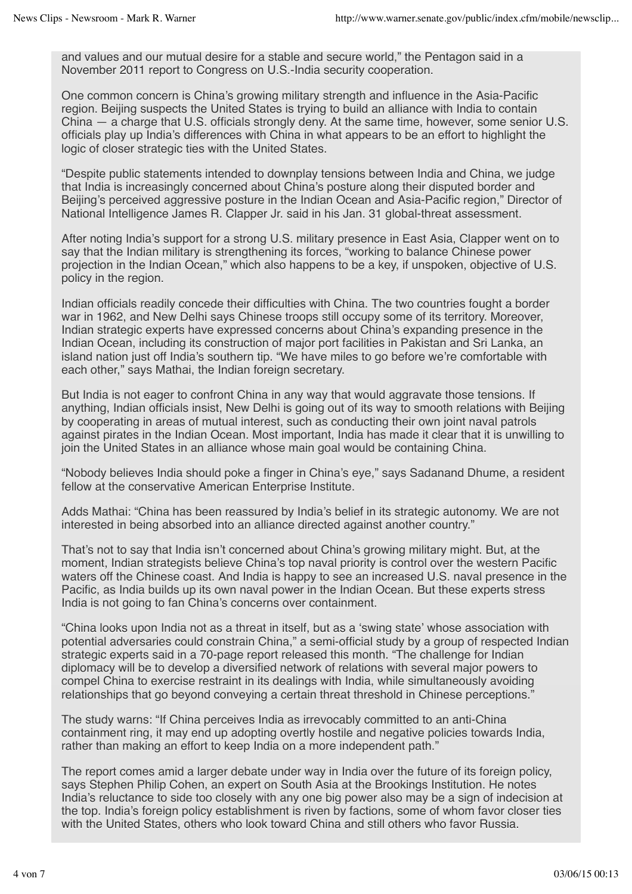and values and our mutual desire for a stable and secure world," the Pentagon said in a November 2011 report to Congress on U.S.-India security cooperation.

One common concern is China's growing military strength and influence in the Asia-Pacific region. Beijing suspects the United States is trying to build an alliance with India to contain China — a charge that U.S. officials strongly deny. At the same time, however, some senior U.S. officials play up India's differences with China in what appears to be an effort to highlight the logic of closer strategic ties with the United States.

"Despite public statements intended to downplay tensions between India and China, we judge that India is increasingly concerned about China's posture along their disputed border and Beijing's perceived aggressive posture in the Indian Ocean and Asia-Pacific region," Director of National Intelligence James R. Clapper Jr. said in his Jan. 31 global-threat assessment.

After noting India's support for a strong U.S. military presence in East Asia, Clapper went on to say that the Indian military is strengthening its forces, "working to balance Chinese power projection in the Indian Ocean," which also happens to be a key, if unspoken, objective of U.S. policy in the region.

Indian officials readily concede their difficulties with China. The two countries fought a border war in 1962, and New Delhi says Chinese troops still occupy some of its territory. Moreover, Indian strategic experts have expressed concerns about China's expanding presence in the Indian Ocean, including its construction of major port facilities in Pakistan and Sri Lanka, an island nation just off India's southern tip. "We have miles to go before we're comfortable with each other," says Mathai, the Indian foreign secretary.

But India is not eager to confront China in any way that would aggravate those tensions. If anything, Indian officials insist, New Delhi is going out of its way to smooth relations with Beijing by cooperating in areas of mutual interest, such as conducting their own joint naval patrols against pirates in the Indian Ocean. Most important, India has made it clear that it is unwilling to join the United States in an alliance whose main goal would be containing China.

"Nobody believes India should poke a finger in China's eye," says Sadanand Dhume, a resident fellow at the conservative American Enterprise Institute.

Adds Mathai: "China has been reassured by India's belief in its strategic autonomy. We are not interested in being absorbed into an alliance directed against another country."

That's not to say that India isn't concerned about China's growing military might. But, at the moment, Indian strategists believe China's top naval priority is control over the western Pacific waters off the Chinese coast. And India is happy to see an increased U.S. naval presence in the Pacific, as India builds up its own naval power in the Indian Ocean. But these experts stress India is not going to fan China's concerns over containment.

"China looks upon India not as a threat in itself, but as a 'swing state' whose association with potential adversaries could constrain China," a semi-official study by a group of respected Indian strategic experts said in a 70-page report released this month. "The challenge for Indian diplomacy will be to develop a diversified network of relations with several major powers to compel China to exercise restraint in its dealings with India, while simultaneously avoiding relationships that go beyond conveying a certain threat threshold in Chinese perceptions."

The study warns: "If China perceives India as irrevocably committed to an anti-China containment ring, it may end up adopting overtly hostile and negative policies towards India, rather than making an effort to keep India on a more independent path."

The report comes amid a larger debate under way in India over the future of its foreign policy, says Stephen Philip Cohen, an expert on South Asia at the Brookings Institution. He notes India's reluctance to side too closely with any one big power also may be a sign of indecision at the top. India's foreign policy establishment is riven by factions, some of whom favor closer ties with the United States, others who look toward China and still others who favor Russia.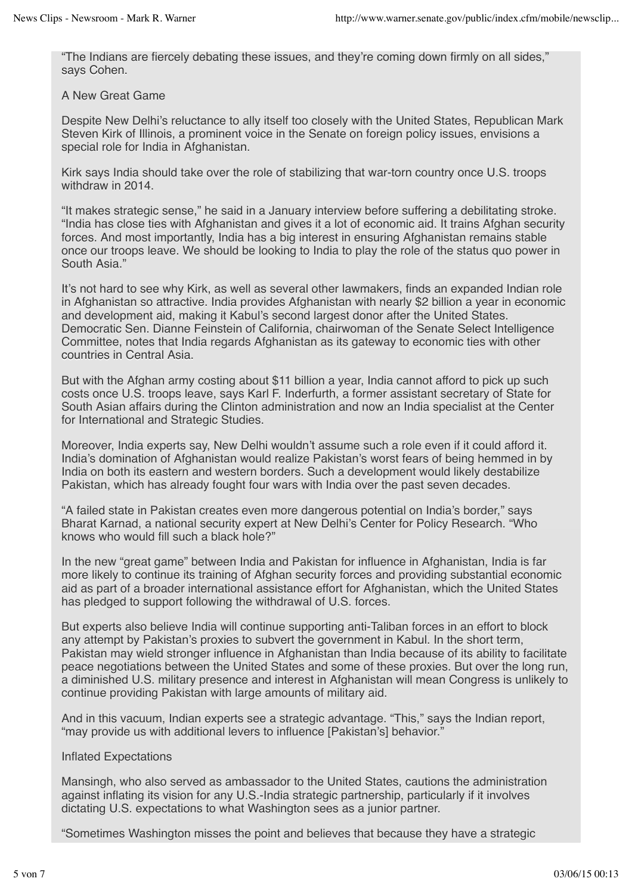"The Indians are fiercely debating these issues, and they're coming down firmly on all sides," says Cohen.

A New Great Game

Despite New Delhi's reluctance to ally itself too closely with the United States, Republican Mark Steven Kirk of Illinois, a prominent voice in the Senate on foreign policy issues, envisions a special role for India in Afghanistan.

Kirk says India should take over the role of stabilizing that war-torn country once U.S. troops withdraw in 2014.

"It makes strategic sense," he said in a January interview before suffering a debilitating stroke. "India has close ties with Afghanistan and gives it a lot of economic aid. It trains Afghan security forces. And most importantly, India has a big interest in ensuring Afghanistan remains stable once our troops leave. We should be looking to India to play the role of the status quo power in South Asia."

It's not hard to see why Kirk, as well as several other lawmakers, finds an expanded Indian role in Afghanistan so attractive. India provides Afghanistan with nearly \$2 billion a year in economic and development aid, making it Kabul's second largest donor after the United States. Democratic Sen. Dianne Feinstein of California, chairwoman of the Senate Select Intelligence Committee, notes that India regards Afghanistan as its gateway to economic ties with other countries in Central Asia.

But with the Afghan army costing about \$11 billion a year, India cannot afford to pick up such costs once U.S. troops leave, says Karl F. Inderfurth, a former assistant secretary of State for South Asian affairs during the Clinton administration and now an India specialist at the Center for International and Strategic Studies.

Moreover, India experts say, New Delhi wouldn't assume such a role even if it could afford it. India's domination of Afghanistan would realize Pakistan's worst fears of being hemmed in by India on both its eastern and western borders. Such a development would likely destabilize Pakistan, which has already fought four wars with India over the past seven decades.

"A failed state in Pakistan creates even more dangerous potential on India's border," says Bharat Karnad, a national security expert at New Delhi's Center for Policy Research. "Who knows who would fill such a black hole?"

In the new "great game" between India and Pakistan for influence in Afghanistan, India is far more likely to continue its training of Afghan security forces and providing substantial economic aid as part of a broader international assistance effort for Afghanistan, which the United States has pledged to support following the withdrawal of U.S. forces.

But experts also believe India will continue supporting anti-Taliban forces in an effort to block any attempt by Pakistan's proxies to subvert the government in Kabul. In the short term, Pakistan may wield stronger influence in Afghanistan than India because of its ability to facilitate peace negotiations between the United States and some of these proxies. But over the long run, a diminished U.S. military presence and interest in Afghanistan will mean Congress is unlikely to continue providing Pakistan with large amounts of military aid.

And in this vacuum, Indian experts see a strategic advantage. "This," says the Indian report, "may provide us with additional levers to influence [Pakistan's] behavior."

## Inflated Expectations

Mansingh, who also served as ambassador to the United States, cautions the administration against inflating its vision for any U.S.-India strategic partnership, particularly if it involves dictating U.S. expectations to what Washington sees as a junior partner.

"Sometimes Washington misses the point and believes that because they have a strategic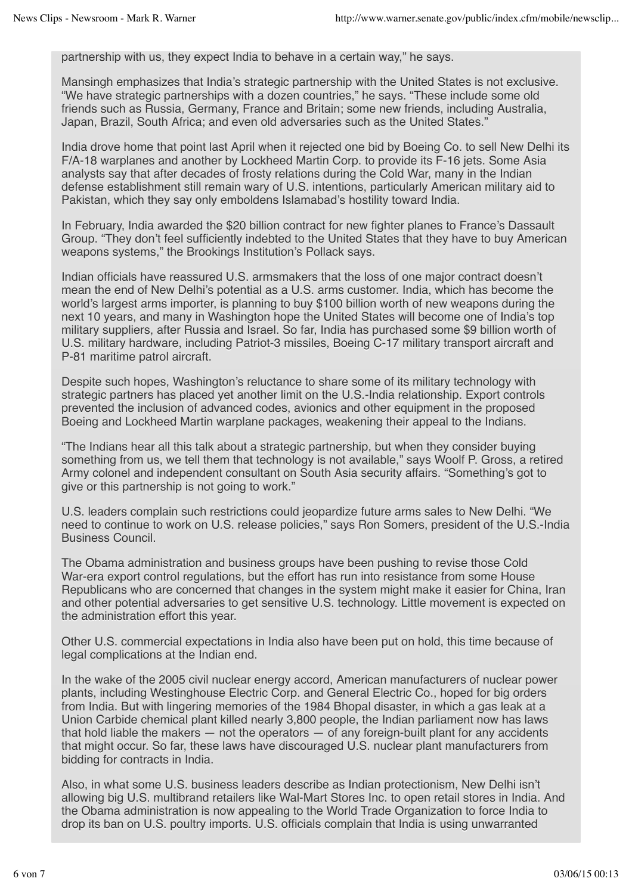partnership with us, they expect India to behave in a certain way," he says.

Mansingh emphasizes that India's strategic partnership with the United States is not exclusive. "We have strategic partnerships with a dozen countries," he says. "These include some old friends such as Russia, Germany, France and Britain; some new friends, including Australia, Japan, Brazil, South Africa; and even old adversaries such as the United States."

India drove home that point last April when it rejected one bid by Boeing Co. to sell New Delhi its F/A-18 warplanes and another by Lockheed Martin Corp. to provide its F-16 jets. Some Asia analysts say that after decades of frosty relations during the Cold War, many in the Indian defense establishment still remain wary of U.S. intentions, particularly American military aid to Pakistan, which they say only emboldens Islamabad's hostility toward India.

In February, India awarded the \$20 billion contract for new fighter planes to France's Dassault Group. "They don't feel sufficiently indebted to the United States that they have to buy American weapons systems," the Brookings Institution's Pollack says.

Indian officials have reassured U.S. armsmakers that the loss of one major contract doesn't mean the end of New Delhi's potential as a U.S. arms customer. India, which has become the world's largest arms importer, is planning to buy \$100 billion worth of new weapons during the next 10 years, and many in Washington hope the United States will become one of India's top military suppliers, after Russia and Israel. So far, India has purchased some \$9 billion worth of U.S. military hardware, including Patriot-3 missiles, Boeing C-17 military transport aircraft and P-81 maritime patrol aircraft.

Despite such hopes, Washington's reluctance to share some of its military technology with strategic partners has placed yet another limit on the U.S.-India relationship. Export controls prevented the inclusion of advanced codes, avionics and other equipment in the proposed Boeing and Lockheed Martin warplane packages, weakening their appeal to the Indians.

"The Indians hear all this talk about a strategic partnership, but when they consider buying something from us, we tell them that technology is not available," says Woolf P. Gross, a retired Army colonel and independent consultant on South Asia security affairs. "Something's got to give or this partnership is not going to work."

U.S. leaders complain such restrictions could jeopardize future arms sales to New Delhi. "We need to continue to work on U.S. release policies," says Ron Somers, president of the U.S.-India Business Council.

The Obama administration and business groups have been pushing to revise those Cold War-era export control regulations, but the effort has run into resistance from some House Republicans who are concerned that changes in the system might make it easier for China, Iran and other potential adversaries to get sensitive U.S. technology. Little movement is expected on the administration effort this year.

Other U.S. commercial expectations in India also have been put on hold, this time because of legal complications at the Indian end.

In the wake of the 2005 civil nuclear energy accord, American manufacturers of nuclear power plants, including Westinghouse Electric Corp. and General Electric Co., hoped for big orders from India. But with lingering memories of the 1984 Bhopal disaster, in which a gas leak at a Union Carbide chemical plant killed nearly 3,800 people, the Indian parliament now has laws that hold liable the makers — not the operators — of any foreign-built plant for any accidents that might occur. So far, these laws have discouraged U.S. nuclear plant manufacturers from bidding for contracts in India.

Also, in what some U.S. business leaders describe as Indian protectionism, New Delhi isn't allowing big U.S. multibrand retailers like Wal-Mart Stores Inc. to open retail stores in India. And the Obama administration is now appealing to the World Trade Organization to force India to drop its ban on U.S. poultry imports. U.S. officials complain that India is using unwarranted